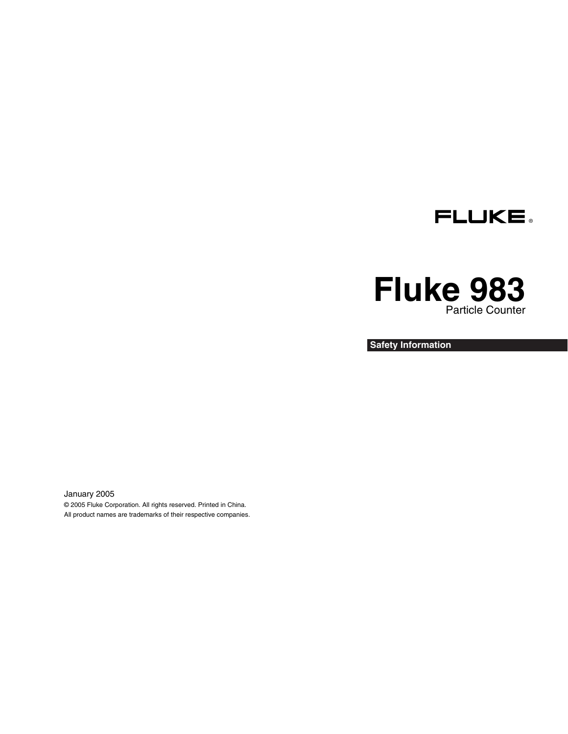

# **Fluke 983**  Particle Counter

**Safety Information**

January 2005 © 2005 Fluke Corporation. All rights reserved. Printed in China. All product names are trademarks of their respective companies.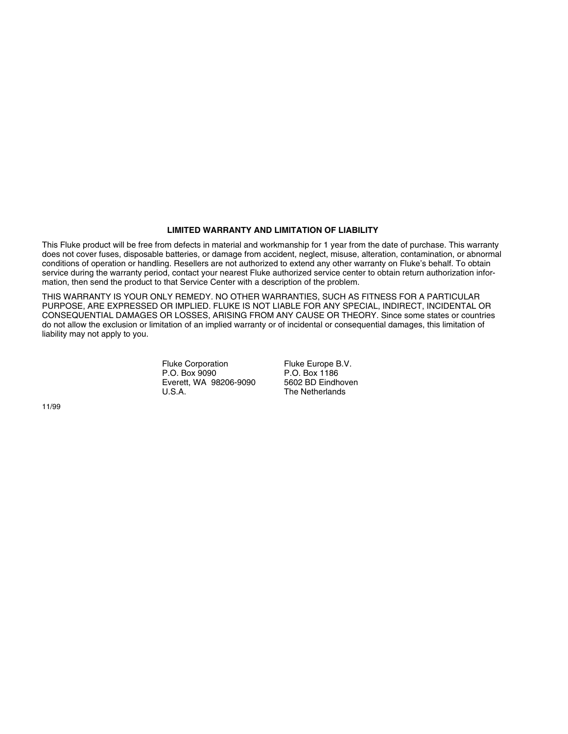#### **LIMITED WARRANTY AND LIMITATION OF LIABILITY**

This Fluke product will be free from defects in material and workmanship for 1 year from the date of purchase. This warranty does not cover fuses, disposable batteries, or damage from accident, neglect, misuse, alteration, contamination, or abnormal conditions of operation or handling. Resellers are not authorized to extend any other warranty on Fluke's behalf. To obtain service during the warranty period, contact your nearest Fluke authorized service center to obtain return authorization information, then send the product to that Service Center with a description of the problem.

THIS WARRANTY IS YOUR ONLY REMEDY. NO OTHER WARRANTIES, SUCH AS FITNESS FOR A PARTICULAR PURPOSE, ARE EXPRESSED OR IMPLIED. FLUKE IS NOT LIABLE FOR ANY SPECIAL, INDIRECT, INCIDENTAL OR CONSEQUENTIAL DAMAGES OR LOSSES, ARISING FROM ANY CAUSE OR THEORY. Since some states or countries do not allow the exclusion or limitation of an implied warranty or of incidental or consequential damages, this limitation of liability may not apply to you.

> Fluke Corporation P.O. Box 9090 Everett, WA 98206-9090  $U.S.A$

Fluke Europe B.V. P.O. Box 1186 5602 BD Eindhoven The Netherlands

11/99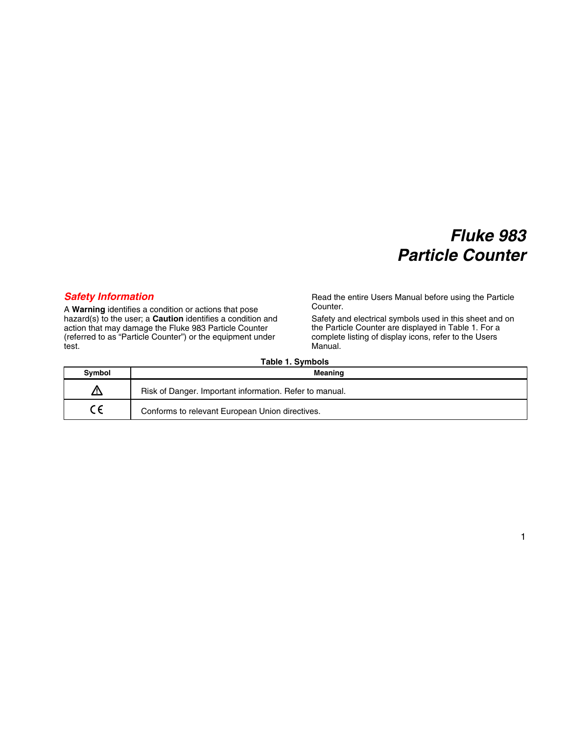# *Fluke 983 Particle Counter*

### *Safety Information*

A **Warning** identifies a condition or actions that pose hazard(s) to the user; a **Caution** identifies a condition and action that may damage the Fluke 983 Particle Counter (referred to as "Particle Counter") or the equipment under test.

Read the entire Users Manual before using the Particle Counter.

Safety and electrical symbols used in this sheet and on the Particle Counter are displayed in Table 1. For a complete listing of display icons, refer to the Users Manual.

| Symbol | <b>Meaning</b>                                          |
|--------|---------------------------------------------------------|
| z۱     | Risk of Danger. Important information. Refer to manual. |
|        | Conforms to relevant European Union directives.         |

#### **Table 1. Symbols**